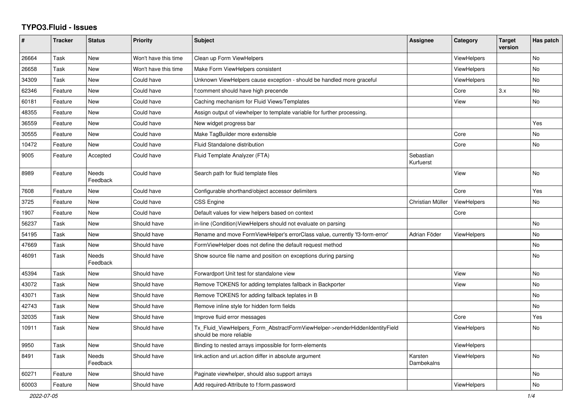## **TYPO3.Fluid - Issues**

| #     | <b>Tracker</b> | <b>Status</b>     | <b>Priority</b>      | <b>Subject</b>                                                                                         | Assignee               | Category           | <b>Target</b><br>version | Has patch |
|-------|----------------|-------------------|----------------------|--------------------------------------------------------------------------------------------------------|------------------------|--------------------|--------------------------|-----------|
| 26664 | Task           | New               | Won't have this time | Clean up Form ViewHelpers                                                                              |                        | <b>ViewHelpers</b> |                          | <b>No</b> |
| 26658 | Task           | New               | Won't have this time | Make Form ViewHelpers consistent                                                                       |                        | <b>ViewHelpers</b> |                          | No        |
| 34309 | Task           | New               | Could have           | Unknown ViewHelpers cause exception - should be handled more graceful                                  |                        | <b>ViewHelpers</b> |                          | No        |
| 62346 | Feature        | New               | Could have           | f:comment should have high precende                                                                    |                        | Core               | 3.x                      | No        |
| 60181 | Feature        | <b>New</b>        | Could have           | Caching mechanism for Fluid Views/Templates                                                            |                        | View               |                          | <b>No</b> |
| 48355 | Feature        | New               | Could have           | Assign output of viewhelper to template variable for further processing.                               |                        |                    |                          |           |
| 36559 | Feature        | New               | Could have           | New widget progress bar                                                                                |                        |                    |                          | Yes       |
| 30555 | Feature        | New               | Could have           | Make TagBuilder more extensible                                                                        |                        | Core               |                          | No        |
| 10472 | Feature        | New               | Could have           | Fluid Standalone distribution                                                                          |                        | Core               |                          | No        |
| 9005  | Feature        | Accepted          | Could have           | Fluid Template Analyzer (FTA)                                                                          | Sebastian<br>Kurfuerst |                    |                          |           |
| 8989  | Feature        | Needs<br>Feedback | Could have           | Search path for fluid template files                                                                   |                        | View               |                          | <b>No</b> |
| 7608  | Feature        | New               | Could have           | Configurable shorthand/object accessor delimiters                                                      |                        | Core               |                          | Yes       |
| 3725  | Feature        | New               | Could have           | <b>CSS Engine</b>                                                                                      | Christian Müller       | <b>ViewHelpers</b> |                          | No        |
| 1907  | Feature        | New               | Could have           | Default values for view helpers based on context                                                       |                        | Core               |                          |           |
| 56237 | Task           | New               | Should have          | in-line (Condition) View Helpers should not evaluate on parsing                                        |                        |                    |                          | <b>No</b> |
| 54195 | Task           | New               | Should have          | Rename and move FormViewHelper's errorClass value, currently 'f3-form-error'                           | Adrian Föder           | <b>ViewHelpers</b> |                          | <b>No</b> |
| 47669 | Task           | New               | Should have          | FormViewHelper does not define the default request method                                              |                        |                    |                          | <b>No</b> |
| 46091 | Task           | Needs<br>Feedback | Should have          | Show source file name and position on exceptions during parsing                                        |                        |                    |                          | No        |
| 45394 | Task           | New               | Should have          | Forwardport Unit test for standalone view                                                              |                        | View               |                          | No        |
| 43072 | Task           | New               | Should have          | Remove TOKENS for adding templates fallback in Backporter                                              |                        | View               |                          | <b>No</b> |
| 43071 | Task           | <b>New</b>        | Should have          | Remove TOKENS for adding fallback teplates in B                                                        |                        |                    |                          | <b>No</b> |
| 42743 | Task           | New               | Should have          | Remove inline style for hidden form fields                                                             |                        |                    |                          | <b>No</b> |
| 32035 | Task           | New               | Should have          | Improve fluid error messages                                                                           |                        | Core               |                          | Yes       |
| 10911 | Task           | New               | Should have          | Tx Fluid ViewHelpers Form AbstractFormViewHelper->renderHiddenIdentityField<br>should be more reliable |                        | <b>ViewHelpers</b> |                          | No        |
| 9950  | Task           | New               | Should have          | Binding to nested arrays impossible for form-elements                                                  |                        | <b>ViewHelpers</b> |                          |           |
| 8491  | Task           | Needs<br>Feedback | Should have          | link.action and uri.action differ in absolute argument                                                 | Karsten<br>Dambekalns  | <b>ViewHelpers</b> |                          | No        |
| 60271 | Feature        | New               | Should have          | Paginate viewhelper, should also support arrays                                                        |                        |                    |                          | No        |
| 60003 | Feature        | <b>New</b>        | Should have          | Add required-Attribute to f:form.password                                                              |                        | ViewHelpers        |                          | <b>No</b> |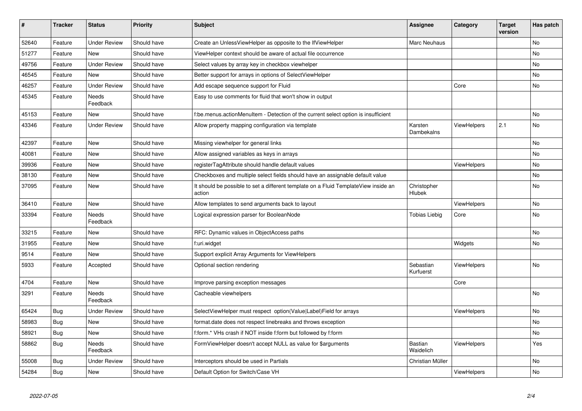| $\vert$ # | <b>Tracker</b> | <b>Status</b>       | <b>Priority</b> | <b>Subject</b>                                                                                | Assignee                    | Category           | <b>Target</b><br>version | Has patch |
|-----------|----------------|---------------------|-----------------|-----------------------------------------------------------------------------------------------|-----------------------------|--------------------|--------------------------|-----------|
| 52640     | Feature        | <b>Under Review</b> | Should have     | Create an UnlessViewHelper as opposite to the IfViewHelper                                    | Marc Neuhaus                |                    |                          | <b>No</b> |
| 51277     | Feature        | New                 | Should have     | ViewHelper context should be aware of actual file occurrence                                  |                             |                    |                          | No        |
| 49756     | Feature        | <b>Under Review</b> | Should have     | Select values by array key in checkbox viewhelper                                             |                             |                    |                          | No        |
| 46545     | Feature        | <b>New</b>          | Should have     | Better support for arrays in options of SelectViewHelper                                      |                             |                    |                          | No        |
| 46257     | Feature        | <b>Under Review</b> | Should have     | Add escape sequence support for Fluid                                                         |                             | Core               |                          | No        |
| 45345     | Feature        | Needs<br>Feedback   | Should have     | Easy to use comments for fluid that won't show in output                                      |                             |                    |                          |           |
| 45153     | Feature        | New                 | Should have     | f:be.menus.actionMenuItem - Detection of the current select option is insufficient            |                             |                    |                          | <b>No</b> |
| 43346     | Feature        | <b>Under Review</b> | Should have     | Allow property mapping configuration via template                                             | Karsten<br>Dambekalns       | ViewHelpers        | 2.1                      | No        |
| 42397     | Feature        | New                 | Should have     | Missing viewhelper for general links                                                          |                             |                    |                          | <b>No</b> |
| 40081     | Feature        | New                 | Should have     | Allow assigned variables as keys in arrays                                                    |                             |                    |                          | No        |
| 39936     | Feature        | <b>New</b>          | Should have     | registerTagAttribute should handle default values                                             |                             | <b>ViewHelpers</b> |                          | No        |
| 38130     | Feature        | New                 | Should have     | Checkboxes and multiple select fields should have an assignable default value                 |                             |                    |                          | No        |
| 37095     | Feature        | New                 | Should have     | It should be possible to set a different template on a Fluid TemplateView inside an<br>action | Christopher<br>Hlubek       |                    |                          | No        |
| 36410     | Feature        | <b>New</b>          | Should have     | Allow templates to send arguments back to layout                                              |                             | ViewHelpers        |                          | <b>No</b> |
| 33394     | Feature        | Needs<br>Feedback   | Should have     | Logical expression parser for BooleanNode                                                     | Tobias Liebig               | Core               |                          | <b>No</b> |
| 33215     | Feature        | New                 | Should have     | RFC: Dynamic values in ObjectAccess paths                                                     |                             |                    |                          | <b>No</b> |
| 31955     | Feature        | New                 | Should have     | f:uri.widget                                                                                  |                             | Widgets            |                          | <b>No</b> |
| 9514      | Feature        | New                 | Should have     | Support explicit Array Arguments for ViewHelpers                                              |                             |                    |                          |           |
| 5933      | Feature        | Accepted            | Should have     | Optional section rendering                                                                    | Sebastian<br>Kurfuerst      | ViewHelpers        |                          | <b>No</b> |
| 4704      | Feature        | New                 | Should have     | Improve parsing exception messages                                                            |                             | Core               |                          |           |
| 3291      | Feature        | Needs<br>Feedback   | Should have     | Cacheable viewhelpers                                                                         |                             |                    |                          | <b>No</b> |
| 65424     | <b>Bug</b>     | <b>Under Review</b> | Should have     | SelectViewHelper must respect option(Value Label)Field for arrays                             |                             | <b>ViewHelpers</b> |                          | <b>No</b> |
| 58983     | Bug            | New                 | Should have     | format.date does not respect linebreaks and throws exception                                  |                             |                    |                          | No        |
| 58921     | Bug            | New                 | Should have     | f:form.* VHs crash if NOT inside f:form but followed by f:form                                |                             |                    |                          | No        |
| 58862     | <b>Bug</b>     | Needs<br>Feedback   | Should have     | FormViewHelper doesn't accept NULL as value for \$arguments                                   | <b>Bastian</b><br>Waidelich | <b>ViewHelpers</b> |                          | Yes       |
| 55008     | Bug            | <b>Under Review</b> | Should have     | Interceptors should be used in Partials                                                       | Christian Müller            |                    |                          | <b>No</b> |
| 54284     | Bug            | New                 | Should have     | Default Option for Switch/Case VH                                                             |                             | ViewHelpers        |                          | No        |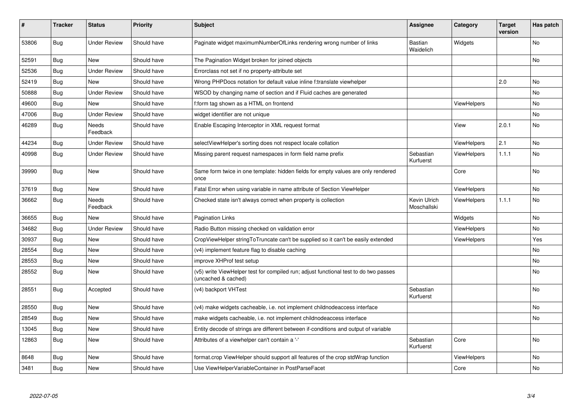| #     | <b>Tracker</b> | <b>Status</b>            | <b>Priority</b> | <b>Subject</b>                                                                                              | Assignee                    | Category           | <b>Target</b><br>version | Has patch |
|-------|----------------|--------------------------|-----------------|-------------------------------------------------------------------------------------------------------------|-----------------------------|--------------------|--------------------------|-----------|
| 53806 | <b>Bug</b>     | <b>Under Review</b>      | Should have     | Paginate widget maximumNumberOfLinks rendering wrong number of links                                        | Bastian<br>Waidelich        | Widgets            |                          | No        |
| 52591 | Bug            | <b>New</b>               | Should have     | The Pagination Widget broken for joined objects                                                             |                             |                    |                          | No        |
| 52536 | Bug            | <b>Under Review</b>      | Should have     | Errorclass not set if no property-attribute set                                                             |                             |                    |                          |           |
| 52419 | Bug            | <b>New</b>               | Should have     | Wrong PHPDocs notation for default value inline f:translate viewhelper                                      |                             |                    | 2.0                      | No.       |
| 50888 | Bug            | <b>Under Review</b>      | Should have     | WSOD by changing name of section and if Fluid caches are generated                                          |                             |                    |                          | No        |
| 49600 | <b>Bug</b>     | New                      | Should have     | f:form tag shown as a HTML on frontend                                                                      |                             | <b>ViewHelpers</b> |                          | No        |
| 47006 | Bug            | <b>Under Review</b>      | Should have     | widget identifier are not unique                                                                            |                             |                    |                          | No        |
| 46289 | <b>Bug</b>     | Needs<br>Feedback        | Should have     | Enable Escaping Interceptor in XML request format                                                           |                             | View               | 2.0.1                    | No        |
| 44234 | Bug            | <b>Under Review</b>      | Should have     | selectViewHelper's sorting does not respect locale collation                                                |                             | ViewHelpers        | 2.1                      | No        |
| 40998 | Bug            | <b>Under Review</b>      | Should have     | Missing parent request namespaces in form field name prefix                                                 | Sebastian<br>Kurfuerst      | <b>ViewHelpers</b> | 1.1.1                    | No        |
| 39990 | Bug            | New                      | Should have     | Same form twice in one template: hidden fields for empty values are only rendered<br>once                   |                             | Core               |                          | No        |
| 37619 | Bug            | New                      | Should have     | Fatal Error when using variable in name attribute of Section ViewHelper                                     |                             | ViewHelpers        |                          | No        |
| 36662 | <b>Bug</b>     | <b>Needs</b><br>Feedback | Should have     | Checked state isn't always correct when property is collection                                              | Kevin Ulrich<br>Moschallski | <b>ViewHelpers</b> | 1.1.1                    | <b>No</b> |
| 36655 | Bug            | <b>New</b>               | Should have     | <b>Pagination Links</b>                                                                                     |                             | Widgets            |                          | No        |
| 34682 | Bug            | <b>Under Review</b>      | Should have     | Radio Button missing checked on validation error                                                            |                             | <b>ViewHelpers</b> |                          | No        |
| 30937 | <b>Bug</b>     | <b>New</b>               | Should have     | CropViewHelper stringToTruncate can't be supplied so it can't be easily extended                            |                             | <b>ViewHelpers</b> |                          | Yes       |
| 28554 | Bug            | <b>New</b>               | Should have     | (v4) implement feature flag to disable caching                                                              |                             |                    |                          | No.       |
| 28553 | Bug            | <b>New</b>               | Should have     | improve XHProf test setup                                                                                   |                             |                    |                          | <b>No</b> |
| 28552 | <b>Bug</b>     | New                      | Should have     | (v5) write ViewHelper test for compiled run; adjust functional test to do two passes<br>(uncached & cached) |                             |                    |                          | No        |
| 28551 | <b>Bug</b>     | Accepted                 | Should have     | (v4) backport VHTest                                                                                        | Sebastian<br>Kurfuerst      |                    |                          | No        |
| 28550 | <b>Bug</b>     | New                      | Should have     | (v4) make widgets cacheable, i.e. not implement childnodeaccess interface                                   |                             |                    |                          | No        |
| 28549 | Bug            | <b>New</b>               | Should have     | make widgets cacheable, i.e. not implement childnodeaccess interface                                        |                             |                    |                          | No.       |
| 13045 | Bug            | New                      | Should have     | Entity decode of strings are different between if-conditions and output of variable                         |                             |                    |                          |           |
| 12863 | Bug            | New                      | Should have     | Attributes of a viewhelper can't contain a '-'                                                              | Sebastian<br>Kurfuerst      | Core               |                          | No        |
| 8648  | Bug            | New                      | Should have     | format.crop ViewHelper should support all features of the crop stdWrap function                             |                             | <b>ViewHelpers</b> |                          | No        |
| 3481  | <b>Bug</b>     | New                      | Should have     | Use ViewHelperVariableContainer in PostParseFacet                                                           |                             | Core               |                          | No        |